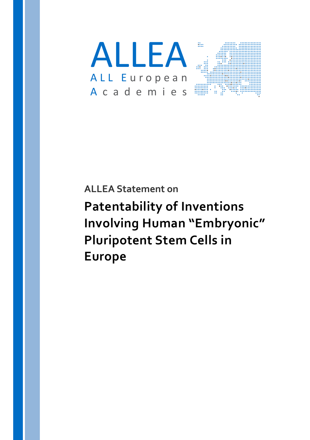

## **ALLEA Statement on**

# **Patentability of Inventions Involving Human "Embryonic" Pluripotent Stem Cells in Europe**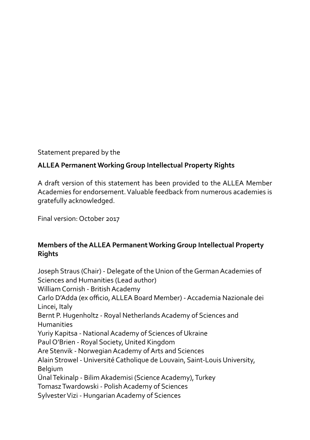Statement prepared by the

### **ALLEA Permanent Working Group Intellectual Property Rights**

A draft version of this statement has been provided to the ALLEA Member Academies for endorsement. Valuable feedback from numerous academies is gratefully acknowledged.

Final version: October 2017

### **Members of the ALLEA Permanent Working Group Intellectual Property Rights**

Joseph Straus (Chair) - Delegate of the Union of the German Academies of Sciences and Humanities (Lead author) William Cornish - British Academy Carlo D'Adda (ex officio, ALLEA Board Member) - Accademia Nazionale dei Lincei, Italy Bernt P. Hugenholtz - Royal Netherlands Academy of Sciences and Humanities Yuriy Kapitsa - National Academy of Sciences of Ukraine Paul O'Brien - Royal Society, United Kingdom Are Stenvik - Norwegian Academy of Arts and Sciences Alain Strowel - Université Catholique de Louvain, Saint-Louis University, Belgium Ünal Tekinalp - Bilim Akademisi (Science Academy), Turkey Tomasz Twardowski - Polish Academy of Sciences Sylvester Vizi - Hungarian Academy of Sciences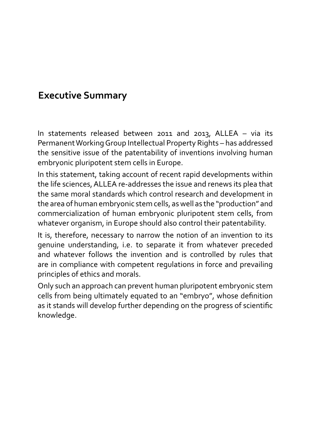## **Executive Summary**

In statements released between 2011 and 2013, ALLEA – via its Permanent Working Group Intellectual Property Rights – has addressed the sensitive issue of the patentability of inventions involving human embryonic pluripotent stem cells in Europe.

In this statement, taking account of recent rapid developments within the life sciences, ALLEA re-addresses the issue and renews its plea that the same moral standards which control research and development in the area of human embryonic stem cells, as well as the "production" and commercialization of human embryonic pluripotent stem cells, from whatever organism, in Europe should also control their patentability.

It is, therefore, necessary to narrow the notion of an invention to its genuine understanding, i.e. to separate it from whatever preceded and whatever follows the invention and is controlled by rules that are in compliance with competent regulations in force and prevailing principles of ethics and morals.

Only such an approach can prevent human pluripotent embryonic stem cells from being ultimately equated to an "embryo", whose definition as it stands will develop further depending on the progress of scientific knowledge.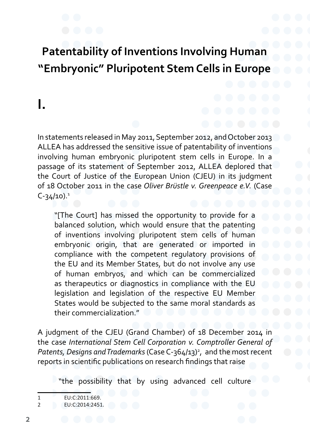**Patentability of Inventions Involving Human "Embryonic" Pluripotent Stem Cells in Europe**

## **I.**

In statements released in May 2011, September 2012, and October 2013 ALLEA has addressed the sensitive issue of patentability of inventions involving human embryonic pluripotent stem cells in Europe. In a passage of its statement of September 2012, ALLEA deplored that the Court of Justice of the European Union (CJEU) in its judgment of 18 October 2011 in the case *Oliver Brüstle v. Greenpeace e.V.* (Case  $C - 34/10$ .

"[The Court] has missed the opportunity to provide for a balanced solution, which would ensure that the patenting of inventions involving pluripotent stem cells of human embryonic origin, that are generated or imported in compliance with the competent regulatory provisions of the EU and its Member States, but do not involve any use of human embryos, and which can be commercialized as therapeutics or diagnostics in compliance with the EU legislation and legislation of the respective EU Member States would be subjected to the same moral standards as their commercialization."

A judgment of the CJEU (Grand Chamber) of 18 December 2014 in the case *International Stem Cell Corporation v. Comptroller General of*  Patents, Designs and Trademarks (Case C-364/13)<sup>2</sup>, and the most recent reports in scientific publications on research findings that raise

"the possibility that by using advanced cell culture

<sup>1</sup> EU:C:2011:669. 2 EU:C:2014:2451.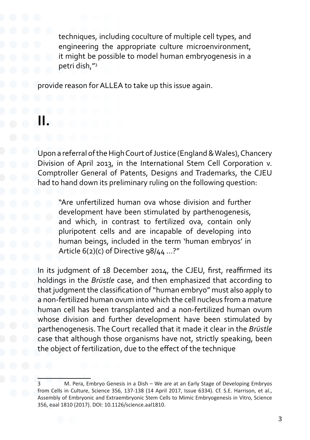techniques, including coculture of multiple cell types, and engineering the appropriate culture microenvironment, it might be possible to model human embryogenesis in a petri dish,"3

provide reason for ALLEA to take up this issue again.

## **II.**

Upon a referral of the High Court of Justice (England & Wales), Chancery Division of April 2013, in the International Stem Cell Corporation v. Comptroller General of Patents, Designs and Trademarks, the CJEU had to hand down its preliminary ruling on the following question:

"Are unfertilized human ova whose division and further development have been stimulated by parthenogenesis, and which, in contrast to fertilized ova, contain only pluripotent cells and are incapable of developing into human beings, included in the term 'human embryos' in Article 6(2)(c) of Directive 98/44 ...?"

In its judgment of 18 December 2014, the CJEU, first, reaffirmed its holdings in the *Brüstle* case, and then emphasized that according to that judgment the classification of "human embryo" must also apply to a non-fertilized human ovum into which the cell nucleus from a mature human cell has been transplanted and a non-fertilized human ovum whose division and further development have been stimulated by parthenogenesis. The Court recalled that it made it clear in the *Brüstle* case that although those organisms have not, strictly speaking, been the object of fertilization, due to the effect of the technique

<sup>3</sup> M. Pera, Embryo Genesis in a Dish – We are at an Early Stage of Developing Embryos from Cells in Culture, Science 356, 137-138 (14 April 2017, Issue 6334). Cf. S.E. Harrison, et al., Assembly of Embryonic and Extraembryonic Stem Cells to Mimic Embryogenesis in Vitro, Science 356, eaal 1810 (2017). DOI: 10.1126/science.aal1810.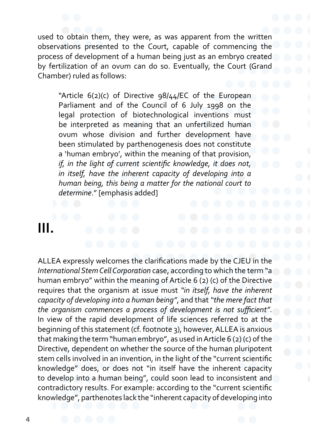used to obtain them, they were, as was apparent from the written observations presented to the Court, capable of commencing the process of development of a human being just as an embryo created by fertilization of an ovum can do so. Eventually, the Court (Grand Chamber) ruled as follows:

"Article 6(2)(c) of Directive 98/44/EC of the European Parliament and of the Council of 6 July 1998 on the legal protection of biotechnological inventions must be interpreted as meaning that an unfertilized human ovum whose division and further development have been stimulated by parthenogenesis does not constitute a 'human embryo', within the meaning of that provision, *if, in the light of current scientific knowledge, it does not, in itself, have the inherent capacity of developing into a human being, this being a matter for the national court to determine*." [emphasis added]

# **III.**

ALLEA expressly welcomes the clarifications made by the CJEU in the *International Stem Cell Corporation* case, according to which the term "a human embryo" within the meaning of Article 6 (2) (c) of the Directive requires that the organism at issue must *"in itself, have the inherent capacity of developing into a human being"*, and that *"the mere fact that the organism commences a process of development is not sufficient"*. In view of the rapid development of life sciences referred to at the beginning of this statement (cf. footnote 3), however, ALLEA is anxious that making the term "human embryo", as used in Article 6 (2) (c) of the Directive, dependent on whether the source of the human pluripotent stem cells involved in an invention, in the light of the "current scientific knowledge" does, or does not "in itself have the inherent capacity to develop into a human being", could soon lead to inconsistent and contradictory results. For example: according to the "current scientific knowledge", parthenotes lack the "inherent capacity of developing into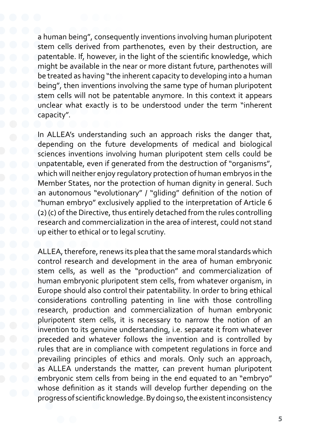a human being", consequently inventions involving human pluripotent stem cells derived from parthenotes, even by their destruction, are patentable. If, however, in the light of the scientific knowledge, which might be available in the near or more distant future, parthenotes will be treated as having "the inherent capacity to developing into a human being", then inventions involving the same type of human pluripotent stem cells will not be patentable anymore. In this context it appears unclear what exactly is to be understood under the term "inherent capacity".

In ALLEA's understanding such an approach risks the danger that, depending on the future developments of medical and biological sciences inventions involving human pluripotent stem cells could be unpatentable, even if generated from the destruction of "organisms", which will neither enjoy regulatory protection of human embryos in the Member States, nor the protection of human dignity in general. Such an autonomous "evolutionary" / "gliding" definition of the notion of "human embryo" exclusively applied to the interpretation of Article 6 (2) (c) of the Directive, thus entirely detached from the rules controlling research and commercialization in the area of interest, could not stand up either to ethical or to legal scrutiny.

ALLEA, therefore, renews its plea that the same moral standards which control research and development in the area of human embryonic stem cells, as well as the "production" and commercialization of human embryonic pluripotent stem cells, from whatever organism, in Europe should also control their patentability. In order to bring ethical considerations controlling patenting in line with those controlling research, production and commercialization of human embryonic pluripotent stem cells, it is necessary to narrow the notion of an invention to its genuine understanding, i.e. separate it from whatever preceded and whatever follows the invention and is controlled by rules that are in compliance with competent regulations in force and prevailing principles of ethics and morals. Only such an approach, as ALLEA understands the matter, can prevent human pluripotent embryonic stem cells from being in the end equated to an "embryo" whose definition as it stands will develop further depending on the progress of scientific knowledge. By doing so, the existent inconsistency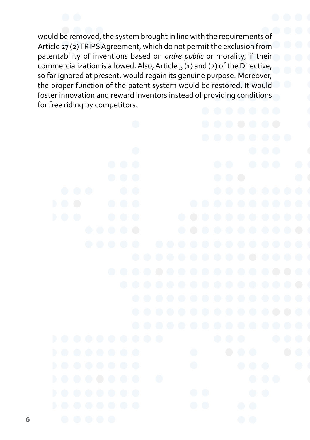would be removed, the system brought in line with the requirements of Article 27 (2) TRIPS Agreement, which do not permit the exclusion from patentability of inventions based on *ordre public* or morality, if their commercialization is allowed. Also, Article 5 (1) and (2) of the Directive, so far ignored at present, would regain its genuine purpose. Moreover, the proper function of the patent system would be restored. It would foster innovation and reward inventors instead of providing conditions for free riding by competitors.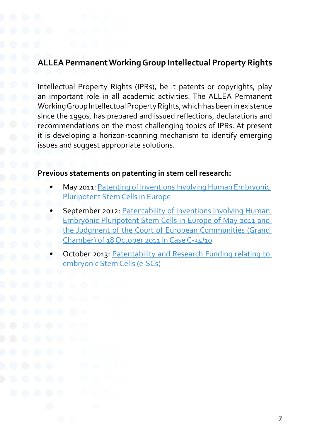### **ALLEA Permanent Working Group Intellectual Property Rights**

Intellectual Property Rights (IPRs), be it patents or copyrights, play an important role in all academic activities. The ALLEA Permanent Working Group Intellectual Property Rights, which has been in existence since the 1990s, has prepared and issued reflections, declarations and recommendations on the most challenging topics of IPRs. At present it is developing a horizon-scanning mechanism to identify emerging issues and suggest appropriate solutions.

#### **Previous statements on patenting in stem cell research:**

- May 2011: [Patenting of Inventions Involving Human Embryonic](http://www.allea.org/wp-content/uploads/2015/09/ALLEA-SC-IPR-statement-Stem-Cell-Patenting-2011-final.pdf)  [Pluripotent Stem Cells in Europe](http://www.allea.org/wp-content/uploads/2015/09/ALLEA-SC-IPR-statement-Stem-Cell-Patenting-2011-final.pdf)
- September 2012: Patentability of Inventions Involving Human<br>Embrusois Plusipatent Stam Cells in Europe of May 2004, and [Embryonic Pluripotent Stem Cells in Europe of May 2011 and](http://www.allea.org/wp-content/uploads/2015/09/Statement-ALLEA-Standing-Committee-IPR_Sept.-2012.pdf)  [the Judgment of the Court of European Communities \(Grand](http://www.allea.org/wp-content/uploads/2015/09/Statement-ALLEA-Standing-Committee-IPR_Sept.-2012.pdf)  [Chamber\) of 18 October 2011 in Case C-34/10](http://www.allea.org/wp-content/uploads/2015/09/Statement-ALLEA-Standing-Committee-IPR_Sept.-2012.pdf)
- October 2013: [Patentability and Research Funding relating to](http://www.allea.org/wp-content/uploads/2015/12/2013_10_ALLEA-statement_stem-cells.pdf)  [embryonic Stem Cells \(e-SCs\)](http://www.allea.org/wp-content/uploads/2015/12/2013_10_ALLEA-statement_stem-cells.pdf)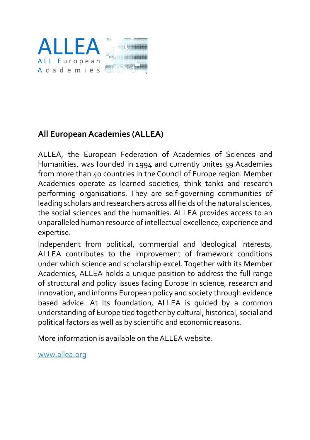

### **All European Academies (ALLEA)**

ALLEA, the European Federation of Academies of Sciences and Humanities, was founded in 1994 and currently unites 59 Academies from more than 40 countries in the Council of Europe region. Member Academies operate as learned societies, think tanks and research performing organisations. They are self-governing communities of leading scholars and researchers across all fields of the natural sciences, the social sciences and the humanities. ALLEA provides access to an unparalleled human resource of intellectual excellence, experience and expertise.

Independent from political, commercial and ideological interests, ALLEA contributes to the improvement of framework conditions under which science and scholarship excel. Together with its Member Academies, ALLEA holds a unique position to address the full range of structural and policy issues facing Europe in science, research and innovation, and informs European policy and society through evidence based advice. At its foundation, ALLEA is guided by a common understanding of Europe tied together by cultural, historical, social and political factors as well as by scientific and economic reasons.

More information is available on the ALLEA website:

[www.allea.org](http://www.allea.org)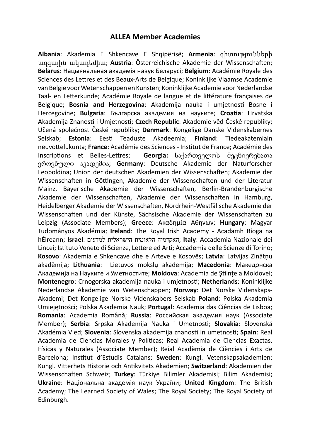#### **ALLEA Member Academies**

**Albania**: Akademia E Shkencave E Shqipërisë; **Armenia**: գիտությունների ազգային ակադեմիա; **Austria**: Österreichische Akademie der Wissenschaften; **Belarus**: Нацыянальная акадэмiя навук Беларусі; **Belgium**: Académie Royale des Sciences des Lettres et des Beaux-Arts de Belgique; Koninklijke Vlaamse Academie van Belgie voor Wetenschappen en Kunsten; Koninklijke Academie voor Nederlandse Taal- en Letterkunde; Académie Royale de langue et de littérature françaises de Belgique; **Bosnia and Herzegovina**: Akademija nauka i umjetnosti Bosne i Hercegovine; **Bulgaria**: Българска академия на науките; **Croatia**: Hrvatska Akademija Znanosti i Umjetnosti; **Czech Republic**: Akademie věd České republiky; Učená společnost České republiky; **Denmark**: Kongelige Danske Videnskabernes Selskab; **Estonia**: Eesti Teaduste Akadeemia; **Finland**: Tiedeakatemiain neuvottelukunta; **France**: Académie des Sciences - Institut de France; Académie des Inscriptions et Belles-Lettres; **Georgia:** საქართველოს მეცნიერებათა ეროვნული აკადემია; **Germany**: Deutsche Akademie der Naturforscher Leopoldina; Union der deutschen Akademien der Wissenschaften; Akademie der Wissenschaften in Göttingen, Akademie der Wissenschaften und der Literatur Mainz, Bayerische Akademie der Wissenschaften, Berlin-Brandenburgische Akademie der Wissenschaften, Akademie der Wissenschaften in Hamburg, Heidelberger Akademie der Wissenschaften, Nordrhein-Westfälische Akademie der Wissenschaften und der Künste, Sächsische Akademie der Wissenschaften zu Leipzig (Associate Members); **Greece**: Ακαδημία Αθηνών; **Hungary**: Magyar Tudományos Akadémia; **Ireland**: The Royal Irish Academy - Acadamh Ríoga na hÉireann; **Israel**: למדעים הישראלית הלאומית האקדמיה ;**Italy**: Accademia Nazionale dei Lincei; Istituto Veneto di Scienze, Lettere ed Arti; Accademia delle Scienze di Torino; **Kosovo**: Akademia e Shkencave dhe e Arteve e Kosovës; **Latvia**: Latvijas Zinātņu akadēmija; **Lithuania**: Lietuvos mokslų akademija; **Macedonia**: Македонска Академија на Науките и Уметностите; **Moldova**: Academia de Ştiinţe a Moldovei; **Montenegro**: Crnogorska akademija nauka i umjetnosti; **Netherlands**: Koninklijke Nederlandse Akademie van Wetenschappen; **Norway**: Det Norske Videnskaps-Akademi; Det Kongelige Norske Videnskabers Selskab **Poland**: Polska Akademia Umiejętności; Polska Akademia Nauk; **Portugal**: Academia das Ciências de Lisboa; **Romania**: Academia Română; **Russia**: Российская академия наук (Associate Member); **Serbia**: Srpska Akademija Nauka i Umetnosti; **Slovakia**: Slovenská Akadémia Vied; **Slovenia**: Slovenska akademija znanosti in umetnosti; **Spain**: Real Academia de Ciencias Morales y Políticas; Real Academia de Ciencias Exactas, Físicas y Naturales (Associate Member); Reial Acadèmia de Ciències i Arts de Barcelona; Institut d'Estudis Catalans; **Sweden**: Kungl. Vetenskapsakademien; Kungl. Vitterhets Historie och Antikvitets Akademien; **Switzerland**: Akademien der Wissenschaften Schweiz; **Turkey**: Türkiye Bilimler Akademisi; Bilim Akademisi; **Ukraine**: Національна академія наук України; **United Kingdom**: The British Academy; The Learned Society of Wales; The Royal Society; The Royal Society of Edinburgh.